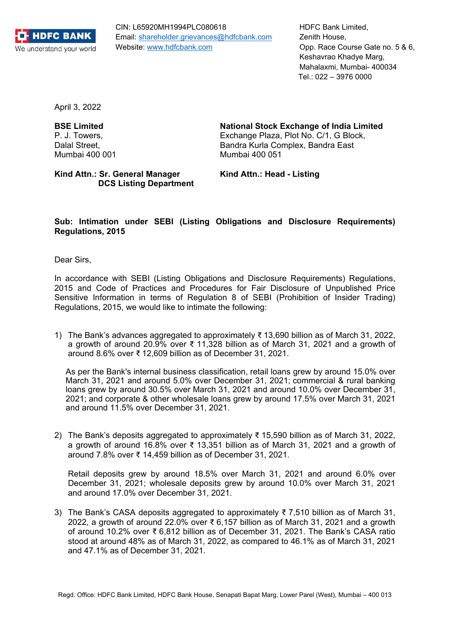

CIN: L65920MH1994PLC080618 Email: shareholder.grievances@hdfcbank.com Website: www.hdfcbank.com

HDFC Bank Limited, Zenith House, Opp. Race Course Gate no. 5 & 6, Keshavrao Khadye Marg, Mahalaxmi, Mumbai- 400034 Tel.: 022 – 3976 0000

April 3, 2022

Kind Attn.: Sr. General Manager **Kind Attn.: Head - Listing DCS Listing Department** 

**BSE Limited National Stock Exchange of India Limited** 

P. J. Towers, Exchange Plaza, Plot No. C/1, G Block, Dalal Street, **Bandra Kurla Complex, Bandra East** Mumbai 400 001 Mumbai 400 051

## **Sub: Intimation under SEBI (Listing Obligations and Disclosure Requirements) Regulations, 2015**

Dear Sirs,

In accordance with SEBI (Listing Obligations and Disclosure Requirements) Regulations, 2015 and Code of Practices and Procedures for Fair Disclosure of Unpublished Price Sensitive Information in terms of Regulation 8 of SEBI (Prohibition of Insider Trading) Regulations, 2015, we would like to intimate the following:

1) The Bank's advances aggregated to approximately ₹ 13,690 billion as of March 31, 2022, a growth of around 20.9% over ₹ 11,328 billion as of March 31, 2021 and a growth of around 8.6% over ₹ 12,609 billion as of December 31, 2021.

As per the Bank's internal business classification, retail loans grew by around 15.0% over March 31, 2021 and around 5.0% over December 31, 2021; commercial & rural banking loans grew by around 30.5% over March 31, 2021 and around 10.0% over December 31, 2021; and corporate & other wholesale loans grew by around 17.5% over March 31, 2021 and around 11.5% over December 31, 2021.

2) The Bank's deposits aggregated to approximately ₹ 15,590 billion as of March 31, 2022, a growth of around 16.8% over ₹ 13,351 billion as of March 31, 2021 and a growth of around 7.8% over ₹ 14,459 billion as of December 31, 2021.

Retail deposits grew by around 18.5% over March 31, 2021 and around 6.0% over December 31, 2021; wholesale deposits grew by around 10.0% over March 31, 2021 and around 17.0% over December 31, 2021.

3) The Bank's CASA deposits aggregated to approximately ₹7,510 billion as of March 31, 2022, a growth of around 22.0% over ₹6,157 billion as of March 31, 2021 and a growth of around 10.2% over ₹ 6,812 billion as of December 31, 2021. The Bank's CASA ratio stood at around 48% as of March 31, 2022, as compared to 46.1% as of March 31, 2021 and 47.1% as of December 31, 2021.